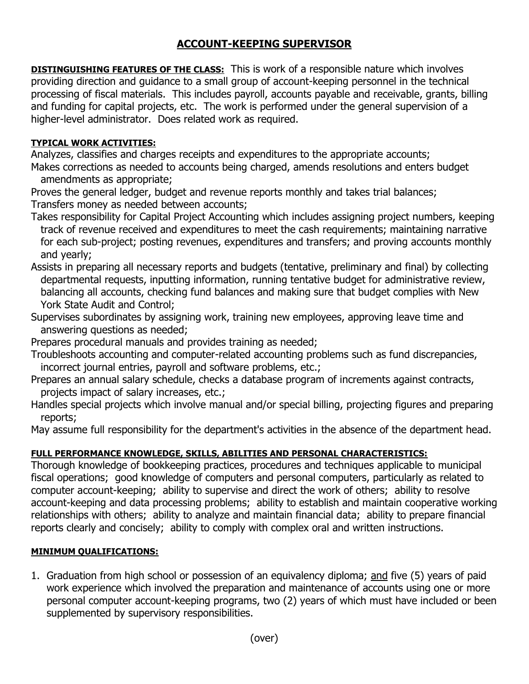## **ACCOUNT-KEEPING SUPERVISOR**

**DISTINGUISHING FEATURES OF THE CLASS:** This is work of a responsible nature which involves providing direction and guidance to a small group of account-keeping personnel in the technical processing of fiscal materials. This includes payroll, accounts payable and receivable, grants, billing and funding for capital projects, etc. The work is performed under the general supervision of a higher-level administrator. Does related work as required.

## **TYPICAL WORK ACTIVITIES:**

Analyzes, classifies and charges receipts and expenditures to the appropriate accounts; Makes corrections as needed to accounts being charged, amends resolutions and enters budget amendments as appropriate;

Proves the general ledger, budget and revenue reports monthly and takes trial balances; Transfers money as needed between accounts;

- Takes responsibility for Capital Project Accounting which includes assigning project numbers, keeping track of revenue received and expenditures to meet the cash requirements; maintaining narrative for each sub-project; posting revenues, expenditures and transfers; and proving accounts monthly and yearly;
- Assists in preparing all necessary reports and budgets (tentative, preliminary and final) by collecting departmental requests, inputting information, running tentative budget for administrative review, balancing all accounts, checking fund balances and making sure that budget complies with New York State Audit and Control;
- Supervises subordinates by assigning work, training new employees, approving leave time and answering questions as needed;
- Prepares procedural manuals and provides training as needed;
- Troubleshoots accounting and computer-related accounting problems such as fund discrepancies, incorrect journal entries, payroll and software problems, etc.;
- Prepares an annual salary schedule, checks a database program of increments against contracts, projects impact of salary increases, etc.;
- Handles special projects which involve manual and/or special billing, projecting figures and preparing reports;

May assume full responsibility for the department's activities in the absence of the department head.

## **FULL PERFORMANCE KNOWLEDGE, SKILLS, ABILITIES AND PERSONAL CHARACTERISTICS:**

Thorough knowledge of bookkeeping practices, procedures and techniques applicable to municipal fiscal operations; good knowledge of computers and personal computers, particularly as related to computer account-keeping; ability to supervise and direct the work of others; ability to resolve account-keeping and data processing problems; ability to establish and maintain cooperative working relationships with others; ability to analyze and maintain financial data; ability to prepare financial reports clearly and concisely; ability to comply with complex oral and written instructions.

## **MINIMUM QUALIFICATIONS:**

1. Graduation from high school or possession of an equivalency diploma; and five (5) years of paid work experience which involved the preparation and maintenance of accounts using one or more personal computer account-keeping programs, two (2) years of which must have included or been supplemented by supervisory responsibilities.